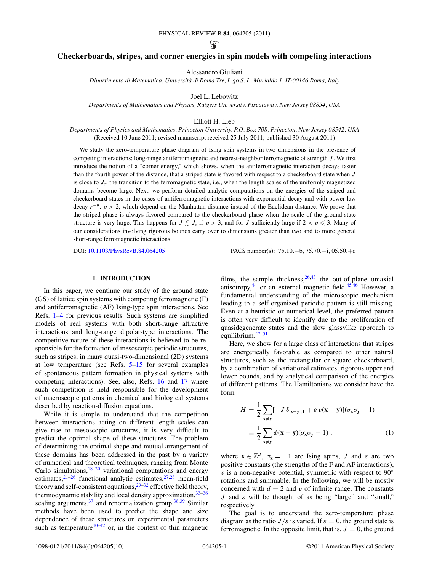$\mathcal{G}$ 

# <span id="page-0-0"></span>**Checkerboards, stripes, and corner energies in spin models with competing interactions**

Alessandro Giuliani

*Dipartimento di Matematica, Universita di Roma Tre, L.go S. L. Murialdo 1, IT-00146 Roma, Italy `*

Joel L. Lebowitz

*Departments of Mathematics and Physics, Rutgers University, Piscataway, New Jersey 08854, USA*

Elliott H. Lieb

*Departments of Physics and Mathematics, Princeton University, P.O. Box 708, Princeton, New Jersey 08542, USA* (Received 10 June 2011; revised manuscript received 25 July 2011; published 30 August 2011)

We study the zero-temperature phase diagram of Ising spin systems in two dimensions in the presence of competing interactions: long-range antiferromagnetic and nearest-neighbor ferromagnetic of strength *J* . We first introduce the notion of a "corner energy," which shows, when the antiferromagnetic interaction decays faster than the fourth power of the distance, that a striped state is favored with respect to a checkerboard state when *J* is close to  $J_c$ , the transition to the ferromagnetic state, i.e., when the length scales of the uniformly magnetized domains become large. Next, we perform detailed analytic computations on the energies of the striped and checkerboard states in the cases of antiferromagnetic interactions with exponential decay and with power-law decay *r*<sup>−</sup>*<sup>p</sup>*, *p >* 2, which depend on the Manhattan distance instead of the Euclidean distance. We prove that the striped phase is always favored compared to the checkerboard phase when the scale of the ground-state structure is very large. This happens for  $J \leq J_c$  if  $p > 3$ , and for *J* sufficiently large if  $2 < p \leq 3$ . Many of our considerations involving rigorous bounds carry over to dimensions greater than two and to more general short-range ferromagnetic interactions.

DOI: [10.1103/PhysRevB.84.064205](http://dx.doi.org/10.1103/PhysRevB.84.064205) PACS number(s): 75*.*10*.*−b, 75*.*70*.*−i, 05*.*50*.*+q

### **I. INTRODUCTION**

In this paper, we continue our study of the ground state (GS) of lattice spin systems with competing ferromagnetic (F) and antiferromagnetic (AF) Ising-type spin interactions. See Refs. [1–4](#page-8-0) for previous results. Such systems are simplified models of real systems with both short-range attractive interactions and long-range dipolar-type interactions. The competitive nature of these interactions is believed to be responsible for the formation of mesoscopic periodic structures, such as stripes, in many quasi-two-dimensional (2D) systems at low temperature (see Refs. [5–15](#page-8-0) for several examples of spontaneous pattern formation in physical systems with competing interactions). See, also, Refs. [16](#page-8-0) and [17](#page-8-0) where such competition is held responsible for the development of macroscopic patterns in chemical and biological systems described by reaction-diffusion equations.

While it is simple to understand that the competition between interactions acting on different length scales can give rise to mesoscopic structures, it is very difficult to predict the optimal shape of these structures. The problem of determining the optimal shape and mutual arrangement of these domains has been addressed in the past by a variety of numerical and theoretical techniques, ranging from Monte Carlo simulations, $18-20$  variational computations and energy estimates,  $2^{1-26}$  functional analytic estimates,  $2^{7,28}$  mean-field theory and self-consistent equations,  $29-32$  effective field theory, thermodynamic stability and local density approximation,  $33-36$ scaling arguments,  $37$  and renormalization group.  $38,39$  Similar methods have been used to predict the shape and size dependence of these structures on experimental parameters such as temperature<sup>[40–42](#page-8-0)</sup> or, in the context of thin magnetic

films, the sample thickness,  $26,43$  $26,43$  the out-of-plane uniaxial anisotropy,<sup>44</sup> or an external magnetic field. $45,46$  However, a fundamental understanding of the microscopic mechanism leading to a self-organized periodic pattern is still missing. Even at a heuristic or numerical level, the preferred pattern is often very difficult to identify due to the proliferation of quasidegenerate states and the slow glassylike approach to equilibrium.<sup>[47–51](#page-9-0)</sup>

Here, we show for a large class of interactions that stripes are energetically favorable as compared to other natural structures, such as the rectangular or square checkerboard, by a combination of variational estimates, rigorous upper and lower bounds, and by analytical comparison of the energies of different patterns. The Hamiltonians we consider have the form

$$
H = \frac{1}{2} \sum_{\mathbf{x} \neq \mathbf{y}} [-J \delta_{|\mathbf{x} - \mathbf{y}|, 1} + \varepsilon v(\mathbf{x} - \mathbf{y})](\sigma_{\mathbf{x}} \sigma_{\mathbf{y}} - 1)
$$
  

$$
= \frac{1}{2} \sum_{\mathbf{x} \neq \mathbf{y}} \phi(\mathbf{x} - \mathbf{y})(\sigma_{\mathbf{x}} \sigma_{\mathbf{y}} - 1),
$$
 (1)

where  $\mathbf{x} \in \mathbb{Z}^d$ ,  $\sigma_{\mathbf{x}} = \pm 1$  are Ising spins, *J* and  $\varepsilon$  are two positive constants (the strengths of the F and AF interactions), *v* is a non-negative potential, symmetric with respect to  $90^\circ$ rotations and summable. In the following, we will be mostly concerned with  $d = 2$  and  $v$  of infinite range. The constants *J* and *ε* will be thought of as being "large" and "small," respectively.

The goal is to understand the zero-temperature phase diagram as the ratio  $J/\varepsilon$  is varied. If  $\varepsilon = 0$ , the ground state is ferromagnetic. In the opposite limit, that is,  $J = 0$ , the ground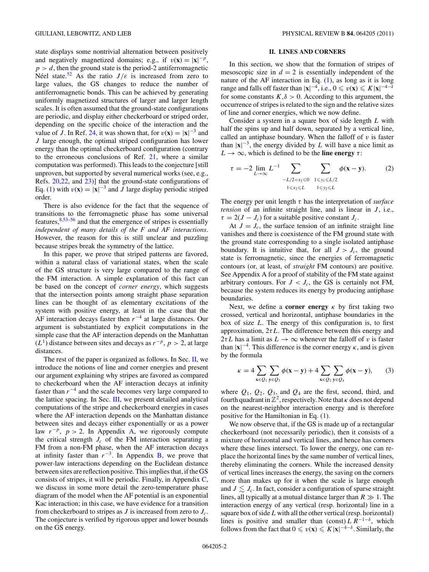<span id="page-1-0"></span>state displays some nontrivial alternation between positively and negatively magnetized domains; e.g., if  $v(\mathbf{x}) = |\mathbf{x}|^{-p}$ ,  $p > d$ , then the ground state is the period-2 antiferromagnetic Néel state.<sup>[52](#page-9-0)</sup> As the ratio  $J/\varepsilon$  is increased from zero to large values, the GS changes to reduce the number of antiferromagnetic bonds. This can be achieved by generating uniformly magnetized structures of larger and larger length scales. It is often assumed that the ground-state configurations are periodic, and display either checkerboard or striped order, depending on the specific choice of the interaction and the value of *J*. In Ref. [24,](#page-8-0) it was shown that, for  $v(\mathbf{x}) = |\mathbf{x}|^{-3}$  and *J* large enough, the optimal striped configuration has lower energy than the optimal checkerboard configuration (contrary to the erroneous conclusions of Ref. [21,](#page-8-0) where a similar computation was performed). This leads to the conjecture [still unproven, but supported by several numerical works (see, e.g., Refs. [20,22,](#page-8-0) and [23\)](#page-8-0)] that the ground-state configurations of Eq. [\(1\)](#page-0-0) with  $v(\mathbf{x}) = |\mathbf{x}|^{-3}$  and *J* large display periodic striped order.

There is also evidence for the fact that the sequence of transitions to the ferromagnetic phase has some universal features, $8,53-56$  $8,53-56$  and that the emergence of stripes is essentially *independent of many details of the F and AF interactions*. However, the reason for this is still unclear and puzzling because stripes break the symmetry of the lattice.

In this paper, we prove that striped patterns are favored, within a natural class of variational states, when the scale of the GS structure is very large compared to the range of the FM interaction. A simple explanation of this fact can be based on the concept of *corner energy*, which suggests that the intersection points among straight phase separation lines can be thought of as elementary excitations of the system with positive energy, at least in the case that the AF interaction decays faster then *r*−<sup>4</sup> at large distances. Our argument is substantiated by explicit computations in the simple case that the AF interaction depends on the Manhattan (*L*1) distance between sites and decays as *r*−*<sup>p</sup>*, *p >* 2, at large distances.

The rest of the paper is organized as follows. In Sec.  $II$ , we introduce the notions of line and corner energies and present our argument explaining why stripes are favored as compared to checkerboard when the AF interaction decays at infinity faster than *r*<sup>−</sup><sup>4</sup> and the scale becomes very large compared to the lattice spacing. In Sec. [III,](#page-2-0) we present detailed analytical computations of the stripe and checkerboard energies in cases where the AF interaction depends on the Manhattan distance between sites and decays either exponentially or as a power law  $r^{-p}$ ,  $p > 2$ . In Appendix [A,](#page-5-0) we rigorously compute the critical strength  $J_c$  of the FM interaction separating a FM from a non-FM phase, when the AF interaction decays at infinity faster than  $r^{-3}$ . In Appendix [B,](#page-5-0) we prove that power-law interactions depending on the Euclidean distance between sites are reflection positive. This implies that, if the GS consists of stripes, it will be periodic. Finally, in Appendix [C,](#page-6-0) we discuss in some more detail the zero-temperature phase diagram of the model when the AF potential is an exponential Kac interaction; in this case, we have evidence for a transition from checkerboard to stripes as *J* is increased from zero to *Jc*. The conjecture is verified by rigorous upper and lower bounds on the GS energy.

### **II. LINES AND CORNERS**

In this section, we show that the formation of stripes of mesoscopic size in  $d = 2$  is essentially independent of the nature of the AF interaction in Eq. [\(1\)](#page-0-0), as long as it is long range and falls off faster than  $|\mathbf{x}|^{-4}$ , i.e.,  $0 \le v(\mathbf{x}) \le K |\mathbf{x}|^{-4-\delta}$ for some constants  $K, \delta > 0$ . According to this argument, the occurrence of stripes is related to the sign and the relative sizes of line and corner energies, which we now define.

Consider a system in a square box of side length *L* with half the spins up and half down, separated by a vertical line, called an antiphase boundary. When the falloff of  $v$  is faster than  $|x|^{-3}$ , the energy divided by *L* will have a nice limit as  $L \rightarrow \infty$ , which is defined to be the **line energy**  $\tau$ :

$$
\tau = -2 \lim_{L \to \infty} L^{-1} \sum_{\substack{-L/2 < x_1 \leq 0 \\ 1 \leq x_2 \leq L}} \sum_{\substack{1 \leq y_1 \leq L/2 \\ 1 \leq y_2 \leq L}} \phi(\mathbf{x} - \mathbf{y}).\tag{2}
$$

The energy per unit length *τ* has the interpretation of *surface tension* of an infinite straight line, and is linear in *J*, i.e.,  $\tau = 2(J - J_c)$  for a suitable positive constant  $J_c$ .

At  $J = J_c$ , the surface tension of an infinite straight line vanishes and there is coexistence of the FM ground state with the ground state corresponding to a single isolated antiphase boundary. It is intuitive that, for all  $J > J_c$ , the ground state is ferromagnetic, since the energies of ferromagnetic contours (or, at least, of *straight* FM contours) are positive. See Appendix A for a proof of stability of the FM state against arbitrary contours. For  $J < J_c$ , the GS is certainly not FM, because the system reduces its energy by producing antiphase boundaries.

Next, we define a **corner energy**  $\kappa$  by first taking two crossed, vertical and horizontal, antiphase boundaries in the box of size *L*. The energy of this configuration is, to first approximation, 2*τL*. The difference between this energy and  $2\tau L$  has a limit as  $L \rightarrow \infty$  whenever the falloff of *v* is faster than  $|x|^{-4}$ . This difference is the corner energy  $\kappa$ , and is given by the formula

$$
\kappa = 4 \sum_{\mathbf{x} \in Q_1} \sum_{\mathbf{y} \in Q_3} \phi(\mathbf{x} - \mathbf{y}) + 4 \sum_{\mathbf{x} \in Q_2} \sum_{\mathbf{y} \in Q_4} \phi(\mathbf{x} - \mathbf{y}), \qquad (3)
$$

where  $Q_1$ ,  $Q_2$ ,  $Q_3$ , and  $Q_4$  are the first, second, third, and fourth quadrant in  $\mathbb{Z}^2$ , respectively. Note that  $\kappa$  does not depend on the nearest-neighbor interaction energy and is therefore positive for the Hamiltonian in Eq. [\(1\)](#page-0-0).

We now observe that, if the GS is made up of a rectangular checkerboard (not necessarily periodic), then it consists of a mixture of horizontal and vertical lines, and hence has corners where these lines intersect. To lower the energy, one can replace the horizontal lines by the same number of vertical lines, thereby eliminating the corners. While the increased density of vertical lines increases the energy, the saving on the corners more than makes up for it when the scale is large enough and  $J \lesssim J_c$ . In fact, consider a configuration of sparse straight lines, all typically at a mutual distance larger than  $R \gg 1$ . The interaction energy of any vertical (resp. horizontal) line in a square box of side*L* with all the other vertical (resp. horizontal) lines is positive and smaller than (const)  $LR^{-1-\delta}$ , which follows from the fact that  $0 \le v(\mathbf{x}) \le K|\mathbf{x}|^{-4-\delta}$ . Similarly, the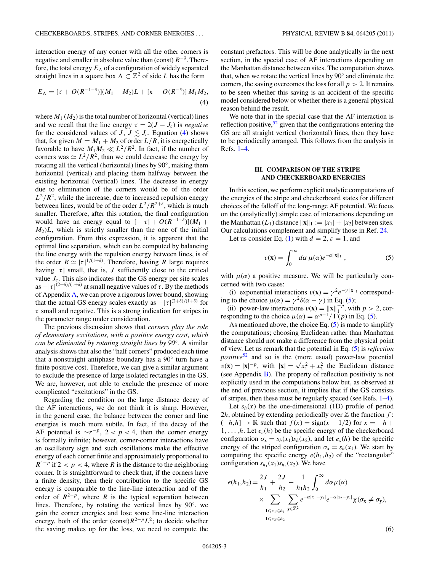<span id="page-2-0"></span>interaction energy of any corner with all the other corners is negative and smaller in absolute value than (const) *R*<sup>−</sup>*<sup>δ</sup>* . Therefore, the total energy  $E_{\Lambda}$  of a configuration of widely separated straight lines in a square box  $\Lambda \subset \mathbb{Z}^2$  of side *L* has the form

$$
E_{\Lambda} = [\tau + O(R^{-1-\delta})](M_1 + M_2)L + [\kappa - O(R^{-\delta})]M_1M_2,
$$
\n(4)

where  $M_1$  ( $M_2$ ) is the total number of horizontal (vertical) lines and we recall that the line energy  $\tau = 2(J - J_c)$  is *negative* for the considered values of *J*,  $J \lesssim J_c$ . Equation (4) shows that, for given  $M = M_1 + M_2$  of order  $L/R$ , it is energetically favorable to have  $M_1 M_2 \ll L^2/R^2$ . In fact, if the number of corners was  $\approx L^2/R^2$ , than we could decrease the energy by rotating all the vertical (horizontal) lines by 90◦, making them horizontal (vertical) and placing them halfway between the existing horizontal (vertical) lines. The decrease in energy due to elimination of the corners would be of the order  $L^2/R^2$ , while the increase, due to increased repulsion energy between lines, would be of the order  $L^2/R^{2+\delta}$ , which is much smaller. Therefore, after this rotation, the final configuration would have an energy equal to  $[-|\tau| + O(R^{-1-\delta})](M_1 +$  $M_2/L$ , which is strictly smaller than the one of the initial configuration. From this expression, it is apparent that the optimal line separation, which can be computed by balancing the line energy with the repulsion energy between lines, is of the order  $R \simeq |\tau|^{1/(1+\delta)}$ . Therefore, having *R* large requires having  $|\tau|$  small, that is, *J* sufficiently close to the critical value  $J_c$ . This also indicates that the GS energy per site scales as  $-|\tau|^{(2+\delta)/(1+\delta)}$  at small negative values of  $\tau$ . By the methods of Appendix [A,](#page-5-0) we can prove a rigorous lower bound, showing that the actual GS energy scales exactly as  $-|\tau|^{(2+\delta)/(1+\delta)}$  for *τ* small and negative. This is a strong indication for stripes in the parameter range under consideration.

The previous discussion shows that *corners play the role of elementary excitations, with a positive energy cost, which can be eliminated by rotating straight lines by 90*◦. A similar analysis shows that also the "half corners" produced each time that a nonstraight antiphase boundary has a 90◦ turn have a finite positive cost. Therefore, we can give a similar argument to exclude the presence of large isolated rectangles in the GS. We are, however, not able to exclude the presence of more complicated "excitations" in the GS.

Regarding the condition on the large distance decay of the AF interactions, we do not think it is sharp. However, in the general case, the balance between the corner and line energies is much more subtle. In fact, if the decay of the AF potential is  $\sim r^{-p}$ , 2 < *p* < 4, then the corner energy is formally infinite; however, corner-corner interactions have an oscillatory sign and such oscillations make the effective energy of each corner finite and approximately proportional to  $R^{4-p}$  if 2 < p < 4, where R is the distance to the neighboring corner. It is straightforward to check that, if the corners have a finite density, then their contribution to the specific GS energy is comparable to the line-line interaction and of the order of  $R^{2-p}$ , where *R* is the typical separation between lines. Therefore, by rotating the vertical lines by  $90°$ , we gain the corner energies and lose some line-line interaction energy, both of the order (const) $R^{2-p}L^2$ ; to decide whether the saving makes up for the loss, we need to compute the constant prefactors. This will be done analytically in the next section, in the special case of AF interactions depending on the Manhattan distance between sites. The computation shows that, when we rotate the vertical lines by 90◦ and eliminate the corners, the saving overcomes the loss for all *p >* 2. It remains to be seen whether this saving is an accident of the specific model considered below or whether there is a general physical reason behind the result.

We note that in the special case that the AF interaction is reflection positive,  $52$  given that the configurations entering the GS are all straight vertical (horizontal) lines, then they have to be periodically arranged. This follows from the analysis in Refs. [1–4.](#page-8-0)

### **III. COMPARISON OF THE STRIPE AND CHECKERBOARD ENERGIES**

In this section, we perform explicit analytic computations of the energies of the stripe and checkerboard states for different choices of the falloff of the long-range AF potential. We focus on the (analytically) simple case of interactions depending on the Manhattan  $(L_1)$  distance  $\|\mathbf{x}\|_1 := |x_1| + |x_2|$  between sites. Our calculations complement and simplify those in Ref. [24.](#page-8-0)

Let us consider Eq. [\(1\)](#page-0-0) with  $d = 2$ ,  $\varepsilon = 1$ , and

$$
v(\mathbf{x}) = \int_0^\infty d\alpha \,\mu(\alpha) e^{-\alpha ||\mathbf{x}||_1} \,, \tag{5}
$$

with  $\mu(\alpha)$  a positive measure. We will be particularly concerned with two cases:

(i) exponential interactions  $v(\mathbf{x}) = \gamma^2 e^{-\gamma ||\mathbf{x}||_1}$  corresponding to the choice  $\mu(\alpha) = \gamma^2 \delta(\alpha - \gamma)$  in Eq. (5);

(ii) power-law interactions  $v(\mathbf{x}) = ||\mathbf{x}||_1^{-p}$ , with  $p > 2$ , corresponding to the choice  $\mu(\alpha) = \alpha^{p-1}/\Gamma(p)$  in Eq. (5).

As mentioned above, the choice Eq.  $(5)$  is made to simplify the computations; choosing Euclidean rather than Manhattan distance should not make a difference from the physical point of view. Let us remark that the potential in Eq. (5) is *reflection positive*[52](#page-9-0) and so is the (more usual) power-law potential *v*(**x**) =  $|\mathbf{x}|^{-p}$ , with  $|\mathbf{x}| = \sqrt{x_1^2 + x_2^2}$  the Euclidean distance (see Appendix  $\bf{B}$ ). The property of reflection positivity is not explicitly used in the computations below but, as observed at the end of previous section, it implies that if the GS consists of stripes, then these must be regularly spaced (see Refs. [1–4\)](#page-8-0).

Let  $s_h(x)$  be the one-dimensional (1D) profile of period 2*h*, obtained by extending periodically over  $\mathbb Z$  the function  $f$ :  $(-h,h]$  → R such that  $f(x) = sign(x - 1/2)$  for  $x = -h +$ 1, ..., h. Let  $e_c(h)$  be the specific energy of the checkerboard configuration  $\sigma_{\mathbf{x}} = s_h(x_1) s_h(x_2)$ , and let  $e_s(h)$  be the specific energy of the striped configuration  $\sigma_{\mathbf{x}} = s_h(x_1)$ . We start by computing the specific energy  $e(h_1,h_2)$  of the "rectangular" configuration  $s_{h_1}(x_1)s_{h_2}(x_2)$ . We have

$$
e(h_1, h_2) = \frac{2J}{h_1} + \frac{2J}{h_2} - \frac{1}{h_1 h_2} \int_0^{\infty} d\alpha \mu(\alpha)
$$
  
 
$$
\times \sum_{\substack{1 \le x_1 \le h_1 \\ 1 \le x_2 \le h_2}} \sum_{y \in \mathbb{Z}^2} e^{-\alpha |x_1 - y_1|} e^{-\alpha |x_2 - y_2|} \chi(\sigma_x \ne \sigma_y),
$$

(6)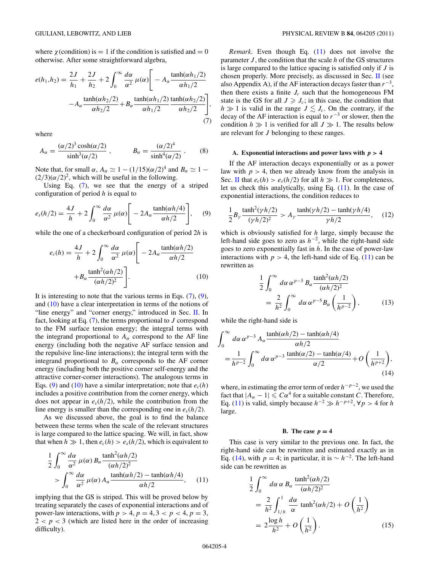<span id="page-3-0"></span>where  $\chi$  (condition) is = 1 if the condition is satisfied and = 0 otherwise. After some straightforward algebra,

$$
e(h_1, h_2) = \frac{2J}{h_1} + \frac{2J}{h_2} + 2\int_0^\infty \frac{d\alpha}{\alpha^2} \mu(\alpha) \Bigg[ -A_\alpha \frac{\tanh(\alpha h_1/2)}{\alpha h_1/2} -A_\alpha \frac{\tanh(\alpha h_2/2)}{\alpha h_2/2} + B_\alpha \frac{\tanh(\alpha h_1/2)}{\alpha h_1/2} \frac{\tanh(\alpha h_2/2)}{\alpha h_2/2} \Bigg],
$$
\n(7)

*,*

where

$$
A_{\alpha} = \frac{(\alpha/2)^3 \cosh(\alpha/2)}{\sinh^3(\alpha/2)} , \qquad B_{\alpha} = \frac{(\alpha/2)^4}{\sinh^4(\alpha/2)} . \tag{8}
$$

Note that, for small  $\alpha$ ,  $A_{\alpha} \simeq 1 - (1/15)(\alpha/2)^4$  and  $B_{\alpha} \simeq 1 (2/3)(\alpha/2)^2$ , which will be useful in the following.

Using Eq. (7), we see that the energy of a striped configuration of period *h* is equal to

$$
e_s(h/2) = \frac{4J}{h} + 2\int_0^\infty \frac{d\alpha}{\alpha^2} \mu(\alpha) \Bigg[ -2A_\alpha \frac{\tanh(\alpha h/4)}{\alpha h/2} \Bigg], \quad (9)
$$

while the one of a checkerboard configuration of period 2*h* is

$$
e_c(h) = \frac{4J}{h} + 2\int_0^\infty \frac{d\alpha}{\alpha^2} \mu(\alpha) \Bigg[ -2A_\alpha \frac{\tanh(\alpha h/2)}{\alpha h/2} + B_\alpha \frac{\tanh^2(\alpha h/2)}{(\alpha h/2)^2} \Bigg].
$$
 (10)

It is interesting to note that the various terms in Eqs.  $(7)$ ,  $(9)$ , and (10) have a clear interpretation in terms of the notions of "line energy" and "corner energy," introduced in Sec. [II.](#page-1-0) In fact, looking at Eq. (7), the terms proportional to *J* correspond to the FM surface tension energy; the integral terms with the integrand proportional to  $A_\alpha$  correspond to the AF line energy (including both the negative AF surface tension and the repulsive line-line interactions); the integral term with the integrand proportional to  $B_\alpha$  corresponds to the AF corner energy (including both the positive corner self-energy and the attractive corner-corner interactions). The analogous terms in Eqs. (9) and (10) have a similar interpretation; note that  $e_c(h)$ includes a positive contribution from the corner energy, which does not appear in  $e_s(h/2)$ , while the contribution from the line energy is smaller than the corresponding one in  $e_s(h/2)$ .

As we discussed above, the goal is to find the balance between these terms when the scale of the relevant structures is large compared to the lattice spacing. We will, in fact, show that when  $h \gg 1$ , then  $e_c(h) > e_s(h/2)$ , which is equivalent to

$$
\frac{1}{2} \int_0^\infty \frac{d\alpha}{\alpha^2} \mu(\alpha) B_\alpha \frac{\tanh^2(\alpha h/2)}{(\alpha h/2)^2} > \int_0^\infty \frac{d\alpha}{\alpha^2} \mu(\alpha) A_\alpha \frac{\tanh(\alpha h/2) - \tanh(\alpha h/4)}{\alpha h/2}, \quad (11)
$$

implying that the GS is striped. This will be proved below by treating separately the cases of exponential interactions and of power-law interactions, with  $p > 4$ ,  $p = 4$ ,  $3 < p < 4$ ,  $p = 3$ ,  $2 < p < 3$  (which are listed here in the order of increasing difficulty).

*Remark*. Even though Eq. (11) does not involve the parameter *J* , the condition that the scale *h* of the GS structures is large compared to the lattice spacing is satisfied only if *J* is chosen properly. More precisely, as discussed in Sec. [II](#page-1-0) (see also Appendix A), if the AF interaction decays faster than *r*<sup>−</sup>3, then there exists a finite  $J_c$  such that the homogeneous FM state is the GS for all  $J \geq J_c$ ; in this case, the condition that  $h \gg 1$  is valid in the range  $J \lesssim J_c$ . On the contrary, if the decay of the AF interaction is equal to *r*<sup>−</sup><sup>3</sup> or slower, then the condition  $h \gg 1$  is verified for all  $J \gg 1$ . The results below are relevant for *J* belonging to these ranges.

#### A. Exponential interactions and power laws with  $p > 4$

If the AF interaction decays exponentially or as a power law with  $p > 4$ , then we already know from the analysis in Sec. [II](#page-1-0) that  $e_c(h) > e_s(h/2)$  for all  $h \gg 1$ . For completeness, let us check this analytically, using Eq. (11). In the case of exponential interactions, the condition reduces to

$$
\frac{1}{2}B_{\gamma}\frac{\tanh^2(\gamma h/2)}{(\gamma h/2)^2} > A_{\gamma}\frac{\tanh(\gamma h/2) - \tanh(\gamma h/4)}{\gamma h/2}, \quad (12)
$$

which is obviously satisfied for *h* large, simply because the left-hand side goes to zero as *h*<sup>−</sup>2, while the right-hand side goes to zero exponentially fast in *h*. In the case of power-law interactions with  $p > 4$ , the left-hand side of Eq. (11) can be rewritten as

$$
\frac{1}{2} \int_0^\infty d\alpha \,\alpha^{p-3} \, B_\alpha \frac{\tanh^2(\alpha h/2)}{(\alpha h/2)^2}
$$
\n
$$
= \frac{2}{h^2} \int_0^\infty d\alpha \,\alpha^{p-5} B_\alpha \left(\frac{1}{h^{p-2}}\right),\tag{13}
$$

while the right-hand side is

$$
\int_0^\infty d\alpha \,\alpha^{p-3} A_\alpha \frac{\tanh(\alpha h/2) - \tanh(\alpha h/4)}{\alpha h/2}
$$
  
= 
$$
\frac{1}{h^{p-2}} \int_0^\infty d\alpha \,\alpha^{p-3} \frac{\tanh(\alpha/2) - \tanh(\alpha/4)}{\alpha/2} + O\left(\frac{1}{h^{p+2}}\right),
$$
(14)

where, in estimating the error term of order *h*−*p*<sup>−</sup>2, we used the fact that  $|A_{\alpha} - 1| \leq C\alpha^4$  for a suitable constant *C*. Therefore, Eq. (11) is valid, simply because  $h^{-2}$  ≫  $h^{-p+2}$ ,  $\forall p > 4$  for *h* large.

#### **B.** The case  $p = 4$

This case is very similar to the previous one. In fact, the right-hand side can be rewritten and estimated exactly as in Eq. (14), with  $p = 4$ ; in particular, it is  $\sim h^{-2}$ . The left-hand side can be rewritten as

$$
\frac{1}{2} \int_0^\infty d\alpha \, \alpha \, B_\alpha \, \frac{\tanh^2(\alpha h/2)}{(\alpha h/2)^2}
$$
\n
$$
= \frac{2}{h^2} \int_{1/h}^1 \frac{d\alpha}{\alpha} \tanh^2(\alpha h/2) + O\left(\frac{1}{h^2}\right)
$$
\n
$$
= 2 \frac{\log h}{h^2} + O\left(\frac{1}{h^2}\right). \tag{15}
$$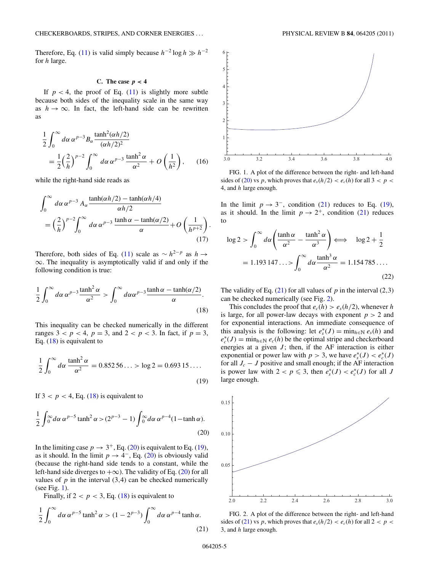Therefore, Eq. [\(11\)](#page-3-0) is valid simply because  $h^{-2} \log h \gg h^{-2}$ for *h* large.

#### C. The case  $p < 4$

If  $p < 4$ , the proof of Eq.  $(11)$  is slightly more subtle because both sides of the inequality scale in the same way as  $h \to \infty$ . In fact, the left-hand side can be rewritten as

$$
\frac{1}{2} \int_0^\infty d\alpha \,\alpha^{p-3} B_\alpha \frac{\tanh^2(\alpha h/2)}{(\alpha h/2)^2}
$$
  
= 
$$
\frac{1}{2} \left(\frac{2}{h}\right)^{p-2} \int_0^\infty d\alpha \,\alpha^{p-3} \frac{\tanh^2 \alpha}{\alpha^2} + O\left(\frac{1}{h^2}\right), \qquad (16)
$$

while the right-hand side reads as

$$
\int_0^\infty d\alpha \,\alpha^{p-3} A_\alpha \frac{\tanh(\alpha h/2) - \tanh(\alpha h/4)}{\alpha h/2}
$$
  
=  $\left(\frac{2}{h}\right)^{p-2} \int_0^\infty d\alpha \,\alpha^{p-3} \frac{\tanh \alpha - \tanh(\alpha/2)}{\alpha} + O\left(\frac{1}{h^{p+2}}\right).$  (17)

Therefore, both sides of Eq. [\(11\)](#page-3-0) scale as  $\sim h^{2-p}$  as  $h \to$ ∞. The inequality is asymptotically valid if and only if the following condition is true:

$$
\frac{1}{2}\int_0^\infty d\alpha \,\alpha^{p-3} \frac{\tanh^2 \alpha}{\alpha^2} > \int_0^\infty d\alpha \alpha^{p-3} \frac{\tanh \alpha - \tanh(\alpha/2)}{\alpha}.\tag{18}
$$

This inequality can be checked numerically in the different ranges  $3 < p < 4$ ,  $p = 3$ , and  $2 < p < 3$ . In fact, if  $p = 3$ , Eq.  $(18)$  is equivalent to

$$
\frac{1}{2} \int_0^\infty d\alpha \, \frac{\tanh^2 \alpha}{\alpha^2} = 0.85256... > \log 2 = 0.69315...
$$
\n(19)

If  $3 < p < 4$ , Eq. (18) is equivalent to

$$
\frac{1}{2}\int_0^\infty d\alpha \,\alpha^{p-5} \tanh^2 \alpha > (2^{p-3} - 1) \int_0^\infty d\alpha \,\alpha^{p-4} (1 - \tanh \alpha).
$$
\n(20)

In the limiting case  $p \to 3^+$ , Eq. (20) is equivalent to Eq. (19), as it should. In the limit  $p \to 4^-$ , Eq. (20) is obviously valid (because the right-hand side tends to a constant, while the left-hand side diverges to  $+\infty$ ). The validity of Eq. (20) for all values of  $p$  in the interval  $(3,4)$  can be checked numerically (see Fig. 1).

Finally, if  $2 < p < 3$ , Eq. (18) is equivalent to

$$
\frac{1}{2} \int_0^\infty d\alpha \, \alpha^{p-5} \tanh^2 \alpha > (1 - 2^{p-3}) \int_0^\infty d\alpha \, \alpha^{p-4} \tanh \alpha.
$$
\n(21)



FIG. 1. A plot of the difference between the right- and left-hand sides of (20) vs *p*, which proves that  $e_s(h/2) < e_c(h)$  for all  $3 < p <$ 4, and *h* large enough.

In the limit  $p \rightarrow 3^-$ , condition (21) reduces to Eq. (19), as it should. In the limit  $p \to 2^+$ , condition (21) reduces to

$$
\log 2 > \int_0^\infty d\alpha \left( \frac{\tanh \alpha}{\alpha^2} - \frac{\tanh^2 \alpha}{\alpha^3} \right) \Longleftrightarrow \log 2 + \frac{1}{2}
$$

$$
= 1.193147\ldots > \int_0^\infty d\alpha \frac{\tanh^3 \alpha}{\alpha^2} = 1.154785\ldots
$$
(22)

The validity of Eq.  $(21)$  for all values of *p* in the interval  $(2,3)$ can be checked numerically (see Fig. 2).

This concludes the proof that  $e_c(h) > e_s(h/2)$ , whenever *h* is large, for all power-law decays with exponent  $p > 2$  and for exponential interactions. An immediate consequence of this analysis is the following: let  $e_s^*(J) = \min_{h \in \mathbb{N}} e_s(h)$  and  $e_c^*(J) = \min_{h \in \mathbb{N}} e_c(h)$  be the optimal stripe and checkerboard energies at a given  $J$ ; then, if the AF interaction is either exponential or power law with  $p > 3$ , we have  $e_s^*(J) < e_c^*(J)$ for all  $J_c - J$  positive and small enough; if the AF interaction is power law with  $2 < p \leq 3$ , then  $e_s^*(J) < e_c^*(J)$  for all *J* large enough.



FIG. 2. A plot of the difference between the right- and left-hand sides of (21) vs *p*, which proves that  $e_s(h/2) < e_c(h)$  for all  $2 < p <$ 3, and *h* large enough.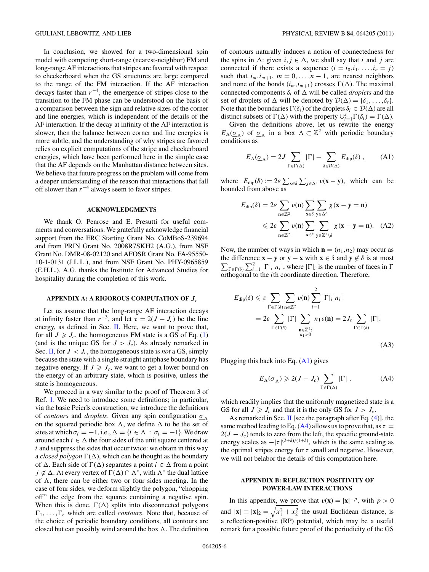<span id="page-5-0"></span>In conclusion, we showed for a two-dimensional spin model with competing short-range (nearest-neighbor) FM and long-range AF interactions that stripes are favored with respect to checkerboard when the GS structures are large compared to the range of the FM interaction. If the AF interaction decays faster than *r*<sup>−</sup>4, the emergence of stripes close to the transition to the FM phase can be understood on the basis of a comparison between the sign and relative sizes of the corner and line energies, which is independent of the details of the AF interaction. If the decay at infinity of the AF interaction is slower, then the balance between corner and line energies is more subtle, and the understanding of why stripes are favored relies on explicit computations of the stripe and checkerboard energies, which have been performed here in the simple case that the AF depends on the Manhattan distance between sites. We believe that future progress on the problem will come from a deeper understanding of the reason that interactions that fall off slower than *r*<sup>−</sup><sup>4</sup> always seem to favor stripes.

#### **ACKNOWLEDGMENTS**

We thank O. Penrose and E. Presutti for useful comments and conversations. We gratefully acknowledge financial support from the ERC Starting Grant No. CoMBoS-239694 and from PRIN Grant No. 2008R7SKH2 (A.G.), from NSF Grant No. DMR-08-02120 and AFOSR Grant No. FA-95550- 10-1-0131 (J.L.L.), and from NSF Grant No. PHY-0965859 (E.H.L.). A.G. thanks the Institute for Advanced Studies for hospitality during the completion of this work.

#### **APPENDIX A: A RIGOROUS COMPUTATION OF** *Jc*

Let us assume that the long-range AF interaction decays at infinity faster than  $r^{-3}$ , and let  $\tau = 2(J - J_c)$  be the line energy, as defined in Sec. [II.](#page-1-0) Here, we want to prove that, for all  $J \geq J_c$ , the homogeneous FM state is a GS of Eq. [\(1\)](#page-0-0) (and is the unique GS for  $J > J_c$ ). As already remarked in Sec. [II,](#page-1-0) for  $J < J_c$ , the homogeneous state is *not* a GS, simply because the state with a single straight antiphase boundary has negative energy. If  $J \geq J_c$ , we want to get a lower bound on the energy of an arbitrary state, which is positive, unless the state is homogeneous.

We proceed in a way similar to the proof of Theorem 3 of Ref. [1.](#page-8-0) We need to introduce some definitions; in particular, via the basic Peierls construction, we introduce the definitions of *contours* and *droplets*. Given any spin configuration *σ* on the squared periodic box  $\Lambda$ , we define  $\Delta$  to be the set of sites at which  $\sigma_i = -1$ , i.e.,  $\Delta = \{i \in \Lambda : \sigma_i = -1\}$ . We draw around each  $i \in \Delta$  the four sides of the unit square centered at *i* and suppress the sides that occur twice: we obtain in this way a *closed polygon*  $\Gamma(\Delta)$ , which can be thought as the boundary of  $\Delta$ . Each side of  $\Gamma(\Delta)$  separates a point  $i \in \Delta$  from a point *j* ∉  $\Delta$ . At every vertex of  $\Gamma(\Delta) \cap \Lambda^*$ , with  $\Lambda^*$  the dual lattice of  $\Lambda$ , there can be either two or four sides meeting. In the case of four sides, we deform slightly the polygon, "chopping off" the edge from the squares containing a negative spin. When this is done,  $\Gamma(\Delta)$  splits into disconnected polygons  $\Gamma_1, \ldots, \Gamma_r$  which are called *contours*. Note that, because of the choice of periodic boundary conditions, all contours are closed but can possibly wind around the box  $\Lambda$ . The definition of contours naturally induces a notion of connectedness for the spins in  $\Delta$ : given  $i, j \in \Delta$ , we shall say that *i* and *j* are connected if there exists a sequence  $(i = i_0, i_1, \ldots, i_n = j)$ such that  $i_m$ ,  $i_{m+1}$ ,  $m = 0, \ldots, n-1$ , are nearest neighbors and none of the bonds  $(i_m, i_{m+1})$  crosses  $\Gamma(\Delta)$ . The maximal connected components  $\delta_i$  of  $\Delta$  will be called *droplets* and the set of droplets of  $\Delta$  will be denoted by  $\mathcal{D}(\Delta) = {\delta_1, \ldots, \delta_s}$ . Note that the boundaries  $\Gamma(\delta_i)$  of the droplets  $\delta_i \in \mathcal{D}(\Delta)$  are all distinct subsets of  $\Gamma(\Delta)$  with the property  $\bigcup_{i=1}^{s} \Gamma(\delta_i) = \Gamma(\Delta)$ .

Given the definitions above, let us rewrite the energy  $E_{\Lambda}(\underline{\sigma}_{\Lambda})$  of  $\underline{\sigma}_{\Lambda}$  in a box  $\Lambda \subset \mathbb{Z}^2$  with periodic boundary conditions as

$$
E_{\Lambda}(\underline{\sigma}_{\Lambda}) = 2J \sum_{\Gamma \in \Gamma(\Delta)} |\Gamma| - \sum_{\delta \in \mathcal{D}(\Delta)} E_{\text{dip}}(\delta) , \quad (A1)
$$

where  $E_{\text{dip}}(\delta) := 2\varepsilon \sum_{\mathbf{x} \in \delta} \sum_{\mathbf{y} \in \Delta^c} v(\mathbf{x} - \mathbf{y})$ , which can be bounded from above as

$$
E_{\text{dip}}(\delta) = 2\varepsilon \sum_{\mathbf{n} \in \mathbb{Z}^2} v(\mathbf{n}) \sum_{\mathbf{x} \in \delta} \sum_{\mathbf{y} \in \Delta^c} \chi(\mathbf{x} - \mathbf{y} = \mathbf{n})
$$
  
\$\leqslant 2\varepsilon \sum\_{\mathbf{n} \in \mathbb{Z}^2} v(\mathbf{n}) \sum\_{\mathbf{x} \in \delta} \sum\_{\mathbf{y} \in \mathbb{Z}^2 \setminus \delta} \chi(\mathbf{x} - \mathbf{y} = \mathbf{n}). (A2)\$

Now, the number of ways in which  $\mathbf{n} = (n_1, n_2)$  may occur as the difference  $\mathbf{x} - \mathbf{y}$  or  $\mathbf{y} - \mathbf{x}$  with  $\mathbf{x} \in \delta$  and  $\mathbf{y} \notin \delta$  is at most  $\sum_{\Gamma \in \Gamma(\delta)} \sum_{i=1}^2 |\Gamma|_i |n_i|$ , where  $|\Gamma|_i$  is the number of faces in  $\Gamma$ orthogonal to the *i*th coordinate direction. Therefore,

$$
E_{\text{dip}}(\delta) \leqslant \varepsilon \sum_{\Gamma \in \Gamma(\delta)} \sum_{\mathbf{n} \in \mathbb{Z}^2} \nu(\mathbf{n}) \sum_{i=1}^2 |\Gamma|_i |n_i|
$$
  
=  $2\varepsilon \sum_{\Gamma \in \Gamma(\delta)} |\Gamma| \sum_{\substack{\mathbf{n} \in \mathbb{Z}^2:\\n_i > 0}} n_1 \nu(\mathbf{n}) = 2J_c \sum_{\Gamma \in \Gamma(\delta)} |\Gamma|.$  (A3)

Plugging this back into Eq. (A1) gives

$$
E_{\Lambda}(\underline{\sigma}_{\Lambda}) \geqslant 2(J - J_c) \sum_{\Gamma \in \Gamma(\Delta)} |\Gamma| \,, \tag{A4}
$$

which readily implies that the uniformly magnetized state is a GS for all  $J \geq J_c$  and that it is the only GS for  $J > J_c$ .

As remarked in Sec. [II](#page-1-0) [see the paragraph after Eq.  $(4)$ ], the same method leading to Eq. (A4) allows us to prove that, as  $\tau =$  $2(J - J_c)$  tends to zero from the left, the specific ground-state energy scales as  $-|\tau|^{(2+\delta)/(1+\delta)}$ , which is the same scaling as the optimal stripes energy for  $\tau$  small and negative. However, we will not belabor the details of this computation here.

## **APPENDIX B: REFLECTION POSITIVITY OF POWER-LAW INTERACTIONS**

In this appendix, we prove that  $v(\mathbf{x}) = |\mathbf{x}|^{-p}$ , with  $p > 0$ and  $|\mathbf{x}| = |\mathbf{x}|_2 = \sqrt{x_1^2 + x_2^2}$  the usual Euclidean distance, is a reflection-positive (RP) potential, which may be a useful remark for a possible future proof of the periodicity of the GS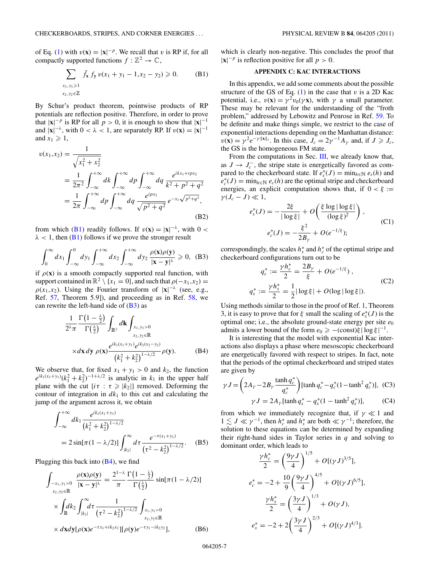<span id="page-6-0"></span>of Eq. [\(1\)](#page-0-0) with  $v(\mathbf{x}) = |\mathbf{x}|^{-p}$ . We recall that *v* is RP if, for all compactly supported functions  $f : \mathbb{Z}^2 \to \mathbb{C}$ ,

$$
\sum_{\substack{x_1, y_1 \ge 1 \\ x_2, y_2 \in \mathbb{Z}}} \bar{f}_x f_y v(x_1 + y_1 - 1, x_2 - y_2) \ge 0.
$$
 (B1)

By Schur's product theorem, pointwise products of RP potentials are reflection positive. Therefore, in order to prove that  $|\mathbf{x}|^{-p}$  is RP for all  $p > 0$ , it is enough to show that  $|\mathbf{x}|^{-1}$ and  $|\mathbf{x}|^{-\lambda}$ , with  $0 < \lambda < 1$ , are separately RP. If  $v(\mathbf{x}) = |\mathbf{x}|^{-1}$ and  $x_1 \geqslant 1$ ,

$$
v(x_1, x_2) = \frac{1}{\sqrt{x_1^2 + x_2^2}}
$$
  
=  $\frac{1}{2\pi^2} \int_{-\infty}^{+\infty} dk \int_{-\infty}^{+\infty} dp \int_{-\infty}^{+\infty} dq \frac{e^{ikx_1 + ipx_2}}{k^2 + p^2 + q^2}$   
=  $\frac{1}{2\pi} \int_{-\infty}^{+\infty} dp \int_{-\infty}^{+\infty} dq \frac{e^{ipx_2}}{\sqrt{p^2 + q^2}} e^{-x_1 \sqrt{p^2 + q^2}}$  (B2)

from which (B1) readily follows. If  $v(\mathbf{x}) = |\mathbf{x}|^{-\lambda}$ , with 0 <  $\lambda$  < 1, then (B<sub>1</sub>) follows if we prove the stronger result

$$
\int_0^\infty dx_1 \int_{-\infty}^0 dy_1 \int_{-\infty}^{+\infty} dx_2 \int_{-\infty}^{+\infty} dy_2 \, \frac{\rho(\mathbf{x})\rho(\mathbf{y})}{|\mathbf{x} - \mathbf{y}|^\lambda} \geq 0, \quad \text{(B3)}
$$

if  $\rho(x)$  is a smooth compactly supported real function, with support contained in  $\mathbb{R}^2 \setminus \{x_1 = 0\}$ , and such that  $\rho(-x_1, x_2) =$  $\rho(x_1, x_2)$ . Using the Fourier transform of  $|\mathbf{x}|^{-\lambda}$  (see, e.g., Ref. [57,](#page-9-0) Theorem 5.9]), and proceeding as in Ref. [58,](#page-9-0) we can rewrite the left-hand side of  $(B3)$  as

$$
\frac{1}{2^{\lambda}\pi} \frac{\Gamma\left(1-\frac{\lambda}{2}\right)}{\Gamma\left(\frac{\lambda}{2}\right)} \int_{\mathbb{R}^2} d\mathbf{k} \int_{x_1, y_1>0} x_2 \log \frac{\rho^{i k_1 (x_1+y_1) \rho^{i k_2 (x_2-y_2)}}{x_2, y_2 \in \mathbb{R}}}{\chi d\mathbf{x} d\mathbf{y} \rho(\mathbf{x}) \frac{e^{ik_1 (x_1+y_1) \rho^{i k_2 (x_2-y_2)}}}{\left(k_1^2+k_2^2\right)^{1-\lambda/2}} \rho(\mathbf{y}).
$$
 (B4)

We observe that, for fixed  $x_1 + y_1 > 0$  and  $k_2$ , the function  $e^{ik_1(x_1+y_1)}(k_1^2+k_2^2)^{-1+\lambda/2}$  is analytic in  $k_1$  in the upper half plane with the cut  $\{i\tau : \tau \geq |k_2|\}$  removed. Deforming the contour of integration in  $dk_1$  to this cut and calculating the jump of the argument across it, we obtain

$$
\int_{-\infty}^{+\infty} dk_1 \frac{e^{ik_1(x_1+y_1)}}{(k_1^2+k_2^2)^{1-\lambda/2}}
$$
  
=  $2 \sin[\pi (1-\lambda/2)] \int_{|k_2|}^{\infty} d\tau \frac{e^{-\tau (x_1+y_1)}}{(\tau^2-k_2^2)^{1-\lambda/2}}$ . (B5)

Plugging this back into  $(B4)$ , we find

$$
\int_{-x_1, y_1>0} \frac{\rho(\mathbf{x})\rho(\mathbf{y})}{|\mathbf{x} - \mathbf{y}|^{\lambda}} = \frac{2^{1-\lambda}}{\pi} \frac{\Gamma(1-\frac{\lambda}{2})}{\Gamma(\frac{\lambda}{2})} \sin[\pi(1-\lambda/2)]
$$
\n
$$
\times \int_{\mathbb{R}} dk_2 \int_{|k_2|}^{\infty} d\tau \frac{1}{(\tau^2 - k_2^2)^{1-\lambda/2}} \int_{x_1, y_1>0}^{x_1, y_1>0} \times dx dy [\rho(\mathbf{x})e^{-\tau x_1 + ik_2x_2}] [\rho(\mathbf{y})e^{-\tau y_1 - ik_2y_2}], \qquad (B6)
$$

which is clearly non-negative. This concludes the proof that  $|\mathbf{x}|^{-p}$  is reflection positive for all  $p > 0$ .

### **APPENDIX C: KAC INTERACTIONS**

In this appendix, we add some comments about the possible structure of the GS of Eq.  $(1)$  in the case that  $v$  is a 2D Kac potential, i.e.,  $v(\mathbf{x}) = \gamma^2 v_0(\gamma \mathbf{x})$ , with  $\gamma$  a small parameter. These may be relevant for the understanding of the "froth problem," addressed by Lebowitz and Penrose in Ref. [59.](#page-9-0) To be definite and make things simple, we restrict to the case of exponential interactions depending on the Manhattan distance:  $v(\mathbf{x}) = \gamma^2 e^{-\gamma ||\mathbf{x}||_1}$ . In this case,  $J_c = 2\gamma^{-1} A_\gamma$  and, if  $J \geq J_c$ , the GS is the homogeneous FM state.

From the computations in Sec. [III,](#page-2-0) we already know that, as  $J \to J_c^-$ , the stripe state is energetically favored as compared to the checkerboard state. If  $e_s^*(J) = \min_{h \in \mathbb{N}} e_s(h)$  and  $e_c^*(J) = \min_{h \in \mathbb{N}} e_c(h)$  are the optimal stripe and checkerboard energies, an explicit computation shows that, if  $0 < \xi :=$  $\gamma (J_c - J) \ll 1,$ 

$$
e_s^*(J) = -\frac{2\xi}{|\log \xi|} + O\left(\frac{\xi \log |\log \xi|}{(\log \xi)^2}\right),
$$
  
\n
$$
e_c^*(J) = -\frac{\xi^2}{2B_\gamma} + O(e^{-1/\xi});
$$
\n(C1)

correspondingly, the scales  $h_s^*$  and  $h_c^*$  of the optimal stripe and checkerboard configurations turn out to be

$$
q_c^* := \frac{\gamma h_c^*}{2} = \frac{2B_\gamma}{\xi} + O(e^{-1/\xi}),
$$
  
\n
$$
q_s^* := \frac{\gamma h_s^*}{2} = \frac{1}{2} |\log \xi| + O(\log |\log \xi|).
$$
 (C2)

Using methods similar to those in the proof of Ref. [1,](#page-8-0) Theorem 3, it is easy to prove that for  $\xi$  small the scaling of  $e_s^*(J)$  is the optimal one; i.e., the absolute ground-state energy per site  $e_0$ admits a lower bound of the form  $e_0 \ge -(\text{const})\xi |\log \xi|^{-1}$ .

It is interesting that the model with exponential Kac interactions also displays a phase where mesoscopic checkerboard are energetically favored with respect to stripes. In fact, note that the periods of the optimal checkerboard and striped states are given by

$$
\gamma J = \left(2A_{\gamma} - 2B_{\gamma} \frac{\tanh q_c^*}{q_c^*}\right) [\tanh q_c^* - q_c^*(1 - \tanh^2 q_c^*)], \quad (C3)
$$

$$
\gamma J = 2A_{\gamma} [\tanh q_s^* - q_s^*(1 - \tanh^2 q_s^*)], \quad (C4)
$$

from which we immediately recognize that, if 
$$
\gamma \ll 1
$$
 and  $1 \lesssim J \ll \gamma^{-1}$ , then  $h_c^*$  and  $h_s^*$  are both  $\ll \gamma^{-1}$ ; therefore, the solution to these equations can be determined by expanding

 $1 \lesssim J \ll$ solution to these equations can be determined by expanding their right-hand sides in Taylor series in *q* and solving to dominant order, which leads to

$$
\frac{\gamma h_c^*}{2} = \left(\frac{9\gamma J}{4}\right)^{1/5} + O[(\gamma J)^{3/5}],
$$
  
\n
$$
e_c^* = -2 + \frac{10}{9} \left(\frac{9\gamma J}{4}\right)^{4/5} + O[(\gamma J)^{6/5}],
$$
  
\n
$$
\frac{\gamma h_s^*}{2} = \left(\frac{3\gamma J}{4}\right)^{1/3} + O(\gamma J),
$$
  
\n
$$
e_s^* = -2 + 2\left(\frac{3\gamma J}{4}\right)^{2/3} + O[(\gamma J)^{4/3}].
$$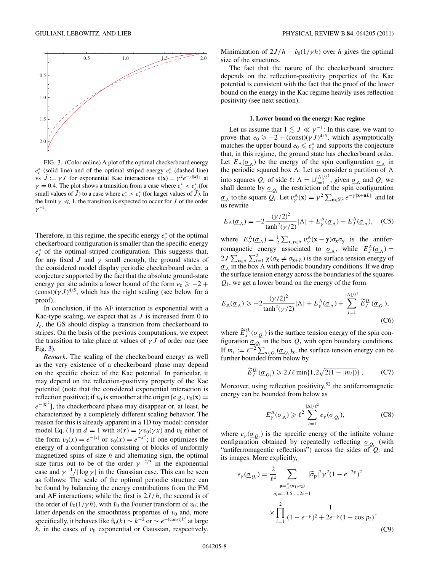

FIG. 3. (Color online) A plot of the optimal checkerboard energy *e*∗ *<sup>c</sup>* (solid line) and of the optimal striped energy *e*<sup>∗</sup> *<sup>s</sup>* (dashed line) vs  $\tilde{J} := \gamma J$  for exponential Kac interactions  $v(\mathbf{x}) = \gamma^2 e^{-\gamma ||\mathbf{x}||_1}$  at  $\gamma = 0.4$ . The plot shows a transition from a case where  $e_c^* < e_s^*$  (for small values of  $\tilde{J}$ ) to a case where  $e_c^* > e_s^*$  (for larger values of  $\tilde{J}$ ). In the limit  $\gamma \ll 1$ , the transition is expected to occur for *J* of the order  $\gamma^{-1}$ .

Therefore, in this regime, the specific energy  $e_c^*$  of the optimal checkerboard configuration is smaller than the specific energy *e*∗ *<sup>s</sup>* of the optimal striped configuration. This suggests that, for any fixed *J* and  $\gamma$  small enough, the ground states of the considered model display periodic checkerboard order, a conjecture supported by the fact that the absolute ground-state energy per site admits a lower bound of the form  $e_0 \ge -2 +$  $(\text{const})(\gamma J)^{4/5}$ , which has the right scaling (see below for a proof).

In conclusion, if the AF interaction is exponential with a Kac-type scaling, we expect that as *J* is increased from 0 to *Jc*, the GS should display a transition from checkerboard to stripes. On the basis of the previous computations, we expect the transition to take place at values of  $\gamma J$  of order one (see Fig. 3).

*Remark*. The scaling of the checkerboard energy as well as the very existence of a checkerboard phase may depend on the specific choice of the Kac potential. In particular, it may depend on the reflection-positivity property of the Kac potential (note that the considered exponential interaction is reflection positive); if  $v_0$  is smoother at the origin [e.g.,  $v_0(\mathbf{x}) =$ *e*<sup>−|x|<sup>2</sup>], the checkerboard phase may disappear or, at least, be</sup> characterized by a completely different scaling behavior. The reason for this is already apparent in a 1D toy model: consider model Eq. [\(1\)](#page-0-0) in  $d = 1$  with  $v(x) = \gamma v_0(\gamma x)$  and  $v_0$  either of the form  $v_0(x) = e^{-|x|}$  or  $v_0(x) = e^{-x^2}$ ; if one optimizes the energy of a configuration consisting of blocks of uniformly magnetized spins of size *h* and alternating sign, the optimal size turns out to be of the order  $\gamma^{-2/3}$  in the exponential case and  $\gamma^{-1}/|\log \gamma|$  in the Gaussian case. This can be seen as follows: The scale of the optimal periodic structure can be found by balancing the energy contributions from the FM and AF interactions; while the first is 2*J/h*, the second is of the order of  $\hat{v}_0(1/\gamma h)$ , with  $\hat{v}_0$  the Fourier transform of  $v_0$ ; the latter depends on the smoothness properties of  $v_0$  and, more specifically, it behaves like  $\hat{v}_0(k) \sim k^{-2}$  or  $\sim e^{-(\text{const})k^2}$  at large  $k$ , in the cases of  $v_0$  exponential or Gaussian, respectively.

Minimization of  $2J/h + \hat{v}_0(1/\gamma h)$  over *h* gives the optimal size of the structures.

The fact that the nature of the checkerboard structure depends on the reflection-positivity properties of the Kac potential is consistent with the fact that the proof of the lower bound on the energy in the Kac regime heavily uses reflection positivity (see next section).

### **1. Lower bound on the energy: Kac regime**

Let us assume that  $1 \lesssim J \ll \gamma^{-1}$ : In this case, we want to prove that  $e_0 \geq -2 + (\text{const})(\gamma J)^{4/5}$ , which asymptotically matches the upper bound  $e_0 \leq e_c^*$  and supports the conjecture that, in this regime, the ground state has checkerboard order. Let  $E_{\Lambda}(\underline{\sigma}_{\Lambda})$  be the energy of the spin configuration  $\underline{\sigma}_{\Lambda}$  in the periodic squared box  $\Lambda$ . Let us consider a partition of  $\Lambda$ into squares  $Q_i$  of side  $\ell$ :  $\Lambda = \bigcup_{i=1}^{|\Lambda|/\ell^2}$ ; given  $\underline{\sigma}_{\Lambda}$  and  $Q_i$  we shall denote by  $\underline{\sigma}_{Q_i}$  the restriction of the spin configuration  $\underline{\sigma}_{\Lambda}$  to the square  $\overline{Q_i}$ . Let  $v_{\gamma}^{\Lambda}(\mathbf{x}) = \gamma^2 \sum_{\mathbf{n} \in \mathbb{Z}^2} e^{-\gamma |\mathbf{x} + \mathbf{n}L|_1}$  and let us rewrite

$$
E_{\Lambda}(\underline{\sigma}_{\Lambda}) = -2 \frac{(\gamma/2)^2}{\tanh^2(\gamma/2)} |\Lambda| + E_{\gamma}^{\Lambda}(\underline{\sigma}_{\Lambda}) + E_{J}^{\Lambda}(\underline{\sigma}_{\Lambda}), \quad (C5)
$$

where  $E^{\Lambda}_{\gamma}(\underline{\sigma}_{\Lambda}) = \frac{1}{2} \sum_{\mathbf{x}, \mathbf{y} \in \Lambda} v^{\Lambda}_{\gamma}(\mathbf{x} - \mathbf{y}) \sigma_{\mathbf{x}} \sigma_{\mathbf{y}}$  is the antiferromagnetic energy associated to  $\underline{\sigma}_{\Lambda}$ , while  $E_J^{\Lambda}(\underline{\sigma}_{\Lambda}) =$  $2J \sum_{\mathbf{x} \in \Lambda} \sum_{i=1}^{2} \chi(\sigma_{\mathbf{x}} \neq \sigma_{\mathbf{x}+\hat{e}_i})$  is the surface tension energy of  $\underline{\sigma}_{\Lambda}$  in the box  $\Lambda$  with periodic boundary conditions. If we drop the surface tension energy across the boundaries of the squares *Qi*, we get a lower bound on the energy of the form

$$
E_{\Lambda}(\underline{\sigma}_{\Lambda}) \ge -2 \frac{(\gamma/2)^2}{\tanh^2(\gamma/2)} |\Lambda| + E_{\gamma}^{\Lambda}(\underline{\sigma}_{\Lambda}) + \sum_{i=1}^{|\Lambda|/\ell^2} \widetilde{E}_J^{\mathcal{Q}_i}(\underline{\sigma}_{\mathcal{Q}_i}),
$$
\n(C6)

where  $\widetilde{E}_J^{Q_i}(\underline{\sigma}_{Q_i})$  is the surface tension energy of the spin configuration  $\underline{\sigma}_{Q_i}$  in the box  $Q_i$  with open boundary conditions. If  $m_i := \ell^{-2} \sum_{\mathbf{x} \in Q_i} (\underline{\sigma}_{Q_i})_{\mathbf{x}}$ , the surface tension energy can be further bounded from below by

$$
\widetilde{E}_J^{Q_i}(\underline{\sigma}_{Q_i}) \geqslant 2J\ell \min\{1, 2\sqrt{2(1-|m_i|)}\} \ . \tag{C7}
$$

Moreover, using reflection positivity,  $52$  the antiferromagnetic energy can be bounded from below as

$$
E_{\gamma}^{\Lambda}(\underline{\sigma}_{\Lambda}) \geq \ell^2 \sum_{i=1}^{|\Lambda|/\ell^2} e_{\gamma}(\underline{\sigma}_{Q_i}), \tag{C8}
$$

where  $e_{\gamma}(\underline{\sigma}_{Q_i})$  is the specific energy of the infinite volume configuration obtained by repeatedly reflecting  $\underline{\sigma}_{Q_i}$  (with "antiferromagentic reflections") across the sides of  $Q_i$  and its images. More explicitly,

$$
e_{\gamma}(\underline{\sigma}_{Q_i}) = \frac{2}{\ell^4} \sum_{\substack{\mathbf{p} = \frac{\pi}{\ell}(n_1, n_2) \\ n_i = 1, 3, 5, \dots, 2\ell - 1}} |\widetilde{\sigma}_{\mathbf{p}}|^2 \gamma^2 (1 - e^{-2\gamma})^2
$$

$$
\times \prod_{i=1}^2 \frac{1}{(1 - e^{-\gamma})^2 + 2e^{-\gamma}(1 - \cos p_i)},
$$
(C9)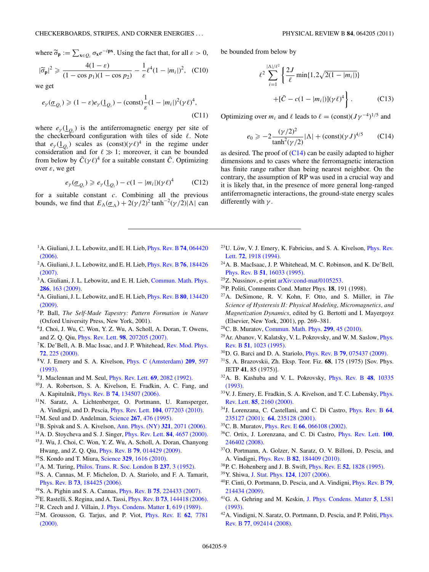<span id="page-8-0"></span>where  $\widetilde{\sigma}_{\mathbf{p}} := \sum_{\mathbf{x} \in Q_i} \sigma_{\mathbf{x}} e^{-i\mathbf{p}\mathbf{x}}$ . Using the fact that, for all  $\varepsilon > 0$ ,

$$
|\tilde{\sigma}_{\mathbf{p}}|^2 \geq \frac{4(1-\varepsilon)}{(1-\cos p_1)(1-\cos p_2)} - \frac{1}{\varepsilon} \ell^4 (1-|m_i|)^2, \quad (C10)
$$

we get

$$
e_{\gamma}(\underline{\sigma}_{Q_i}) \geq (1 - \varepsilon)e_{\gamma}(\underline{1}_{Q_i}) - (\text{const})\frac{1}{\varepsilon}(1 - |m_i|)^2(\gamma \ell)^4,
$$
\n(C11)

where  $e_{\gamma}(\underline{1}_{Q_i})$  is the antiferromagnetic energy per site of the checkerboard configuration with tiles of side  $\ell$ . Note that  $e_{\gamma}(\underline{1}_{Q_i})$  scales as  $(\text{const})(\gamma \ell)^4$  in the regime under consideration and for  $\ell \gg 1$ ; moreover, it can be bounded from below by  $\bar{C}(\gamma \ell)^4$  for a suitable constant  $\bar{C}$ . Optimizing over *ε*, we get

$$
e_{\gamma}(\underline{\sigma}_{Q_i}) \geq e_{\gamma}(\underline{1}_{Q_i}) - c(1 - |m_i|)(\gamma \ell)^4 \qquad (C12)
$$

for a suitable constant *c*. Combining all the previous bounds, we find that  $E_{\Lambda}(\underline{\sigma}_{\Lambda}) + 2(\gamma/2)^2 \tanh^{-2}(\gamma/2) |\Lambda|$  can

- 1A. Giuliani, J. L. Lebowitz, and E. H. Lieb, [Phys. Rev. B](http://dx.doi.org/10.1103/PhysRevB.74.064420) **74**, 064420 [\(2006\).](http://dx.doi.org/10.1103/PhysRevB.74.064420)
- 2A. Giuliani, J. L. Lebowitz, and E. H. Lieb, [Phys. Rev. B](http://dx.doi.org/10.1103/PhysRevB.76.184426) **76**, 184426 [\(2007\).](http://dx.doi.org/10.1103/PhysRevB.76.184426)
- <sup>3</sup>A. Giuliani, J. L. Lebowitz, and E. H. Lieb, [Commun. Math. Phys.](http://dx.doi.org/10.1007/s00220-008-0589-z) **286**[, 163 \(2009\).](http://dx.doi.org/10.1007/s00220-008-0589-z)
- 4A. Giuliani, J. L. Lebowitz, and E. H. Lieb, [Phys. Rev. B](http://dx.doi.org/10.1103/PhysRevB.80.134420) **80**, 134420 [\(2009\).](http://dx.doi.org/10.1103/PhysRevB.80.134420)
- 5P. Ball, *The Self-Made Tapestry: Pattern Formation in Nature* (Oxford University Press, New York, 2001).
- 6J. Choi, J. Wu, C. Won, Y. Z. Wu, A. Scholl, A. Doran, T. Owens, and Z. Q. Qiu, Phys. Rev. Lett. **98**[, 207205 \(2007\).](http://dx.doi.org/10.1103/PhysRevLett.98.207205)
- <sup>7</sup>K. De'Bell, A. B. Mac Issac, and J. P. Whitehead, [Rev. Mod. Phys.](http://dx.doi.org/10.1103/RevModPhys.72.225) **72**[, 225 \(2000\).](http://dx.doi.org/10.1103/RevModPhys.72.225)
- 8V. J. Emery and S. A. Kivelson, [Phys. C \(Amsterdam\)](http://dx.doi.org/10.1016/0921-4534(93)90581-A) **209**, 597 [\(1993\).](http://dx.doi.org/10.1016/0921-4534(93)90581-A)
- 9J. Maclennan and M. Seul, [Phys. Rev. Lett.](http://dx.doi.org/10.1103/PhysRevLett.69.2082) **69**, 2082 (1992).
- 10J. A. Robertson, S. A. Kivelson, E. Fradkin, A. C. Fang, and A. Kapitulnik, Phys. Rev. B **74**[, 134507 \(2006\).](http://dx.doi.org/10.1103/PhysRevB.74.134507)
- <sup>11</sup>N. Saratz, A. Lichtenberger, O. Portmann, U. Ramsperger, A. Vindigni, and D. Pescia, Phys. Rev. Lett. **104**[, 077203 \(2010\).](http://dx.doi.org/10.1103/PhysRevLett.104.077203)
- 12M. Seul and D. Andelman, Science **267**[, 476 \(1995\).](http://dx.doi.org/10.1126/science.267.5197.476)
- 13B. Spivak and S. A. Kivelson, [Ann. Phys. \(NY\)](http://dx.doi.org/10.1016/j.aop.2005.12.002) **321**, 2071 (2006).
- 14A. D. Stoycheva and S. J. Singer, [Phys. Rev. Lett.](http://dx.doi.org/10.1103/PhysRevLett.84.4657) **84**, 4657 (2000).
- 15J. Wu, J. Choi, C. Won, Y. Z. Wu, A. Scholl, A. Doran, Chanyong Hwang, and Z. Q. Qiu, Phys. Rev. B **79**[, 014429 \(2009\).](http://dx.doi.org/10.1103/PhysRevB.79.014429)
- 16S. Kondo and T. Miura, Science **329**[, 1616 \(2010\).](http://dx.doi.org/10.1126/science.1179047)
- 17A. M. Turing, [Philos. Trans. R. Soc. London B](http://dx.doi.org/10.1098/rstb.1952.0012) **237**, 3 (1952).
- 18S. A. Cannas, M. F. Michelon, D. A. Stariolo, and F. A. Tamarit, Phys. Rev. B **73**[, 184425 \(2006\).](http://dx.doi.org/10.1103/PhysRevB.73.184425)
- 19S. A. Pighin and S. A. Cannas, Phys. Rev. B **75**[, 224433 \(2007\).](http://dx.doi.org/10.1103/PhysRevB.75.224433)
- 20E. Rastelli, S. Regina, and A. Tassi, Phys. Rev. B **73**[, 144418 \(2006\).](http://dx.doi.org/10.1103/PhysRevB.73.144418)
- 21R. Czech and J. Villain, [J. Phys. Condens. Matter](http://dx.doi.org/10.1088/0953-8984/1/3/013) **1**, 619 (1989).
- 22M. Grousson, G. Tarjus, and P. Viot, [Phys. Rev. E](http://dx.doi.org/10.1103/PhysRevE.62.7781) **62**, 7781 [\(2000\).](http://dx.doi.org/10.1103/PhysRevE.62.7781)

be bounded from below by

$$
\ell^2 \sum_{i=1}^{\lfloor \Delta \rfloor / \ell^2} \left\{ \frac{2J}{\ell} \min\{1, 2\sqrt{2(1 - |m_i|)}\} + [\bar{C} - c(1 - |m_i|)](\gamma \ell)^4 \right\}.
$$
 (C13)

Optimizing over  $m_i$  and  $\ell$  leads to  $\ell = (\text{const})(J\gamma^{-4})^{1/5}$  and

$$
e_0 \ge -2 \frac{(\gamma/2)^2}{\tanh^2(\gamma/2)} |\Lambda| + (\text{const})(\gamma J)^{4/5} \tag{C14}
$$

as desired. The proof of (C14) can be easily adapted to higher dimensions and to cases where the ferromagnetic interaction has finite range rather than being nearest neighbor. On the contrary, the assumption of RP was used in a crucial way and it is likely that, in the presence of more general long-ranged antiferromagnetic interactions, the ground-state energy scales differently with *γ* .

- <sup>23</sup>U. Löw, V. J. Emery, K. Fabricius, and S. A. Kivelson, *[Phys. Rev.](http://dx.doi.org/10.1103/PhysRevLett.72.1918)* Lett. **72**[, 1918 \(1994\).](http://dx.doi.org/10.1103/PhysRevLett.72.1918)
- <sup>24</sup>A. B. MacIsaac, J. P. Whitehead, M. C. Robinson, and K. De'Bell, Phys. Rev. B **51**[, 16033 \(1995\).](http://dx.doi.org/10.1103/PhysRevB.51.16033)
- 25Z. Nussinov, e-print [arXiv:cond-mat/0105253.](http://arXiv.org/abs/arXiv:cond-mat/0105253)
- 26P. Politi, Comments Cond. Matter Phys. **18**, 191 (1998).
- <sup>27</sup>A. DeSimone, R. V. Kohn, F. Otto, and S. Müller, in *The Science of Hysteresis II: Physical Modeling, Micromagnetics, and Magnetization Dynamics*, edited by G. Bertotti and I. Mayergoyz (Elsevier, New York, 2001), pp. 269–381.
- 28C. B. Muratov, [Commun. Math. Phys.](http://dx.doi.org/10.1007/s00220-010-1094-8) **299**, 45 (2010).
- <sup>29</sup> Ar. Abanov, V. Kalatsky, V. L. Pokrovsky, and W. M. Saslow, *[Phys.](http://dx.doi.org/10.1103/PhysRevB.51.1023)* Rev. B **51**[, 1023 \(1995\).](http://dx.doi.org/10.1103/PhysRevB.51.1023)
- 30D. G. Barci and D. A. Stariolo, Phys. Rev. B **79**[, 075437 \(2009\).](http://dx.doi.org/10.1103/PhysRevB.79.075437)
- 31S. A. Brazovskii, Zh. Eksp. Teor. Fiz. **68**, 175 (1975) [Sov. Phys. JETP **41**, 85 (1975)].
- 32A. B. Kashuba and V. L. Pokrovsky, [Phys. Rev. B](http://dx.doi.org/10.1103/PhysRevB.48.10335) **48**, 10335 [\(1993\).](http://dx.doi.org/10.1103/PhysRevB.48.10335)
- 33V. J. Emery, E. Fradkin, S. A. Kivelson, and T. C. Lubensky, [Phys.](http://dx.doi.org/10.1103/PhysRevLett.85.2160) Rev. Lett. **85**[, 2160 \(2000\).](http://dx.doi.org/10.1103/PhysRevLett.85.2160)
- 34J. Lorenzana, C. Castellani, and C. Di Castro, [Phys. Rev. B](http://dx.doi.org/10.1103/PhysRevB.64.235127) **64**, [235127 \(2001\);](http://dx.doi.org/10.1103/PhysRevB.64.235127) **64**[, 235128 \(2001\).](http://dx.doi.org/10.1103/PhysRevB.64.235128)
- 35C. B. Muratov, Phys. Rev. E **66**[, 066108 \(2002\).](http://dx.doi.org/10.1103/PhysRevE.66.066108)
- 36C. Ortix, J. Lorenzana, and C. Di Castro, [Phys. Rev. Lett.](http://dx.doi.org/10.1103/PhysRevLett.100.246402) **100**, [246402 \(2008\).](http://dx.doi.org/10.1103/PhysRevLett.100.246402)
- 37O. Portmann, A. Golzer, N. Saratz, O. V. Billoni, D. Pescia, and A. Vindigni, Phys. Rev. B **82**[, 184409 \(2010\).](http://dx.doi.org/10.1103/PhysRevB.82.184409)
- 38P. C. Hohenberg and J. B. Swift, Phys. Rev. E **52**[, 1828 \(1995\).](http://dx.doi.org/10.1103/PhysRevE.52.1828)
- 39Y. Shiwa, J. Stat. Phys. **124**[, 1207 \(2006\).](http://dx.doi.org/10.1007/s10955-006-9080-4)
- 40F. Cinti, O. Portmann, D. Pescia, and A. Vindigni, [Phys. Rev. B](http://dx.doi.org/10.1103/PhysRevB.79.214434) **79**, [214434 \(2009\).](http://dx.doi.org/10.1103/PhysRevB.79.214434)
- 41G. A. Gehring and M. Keskin, [J. Phys. Condens. Matter](http://dx.doi.org/10.1088/0953-8984/5/44/007) **5**, L581 [\(1993\).](http://dx.doi.org/10.1088/0953-8984/5/44/007)
- 42A. Vindigni, N. Saratz, O. Portmann, D. Pescia, and P. Politi, [Phys.](http://dx.doi.org/10.1103/PhysRevB.77.092414) Rev. B **77**[, 092414 \(2008\).](http://dx.doi.org/10.1103/PhysRevB.77.092414)